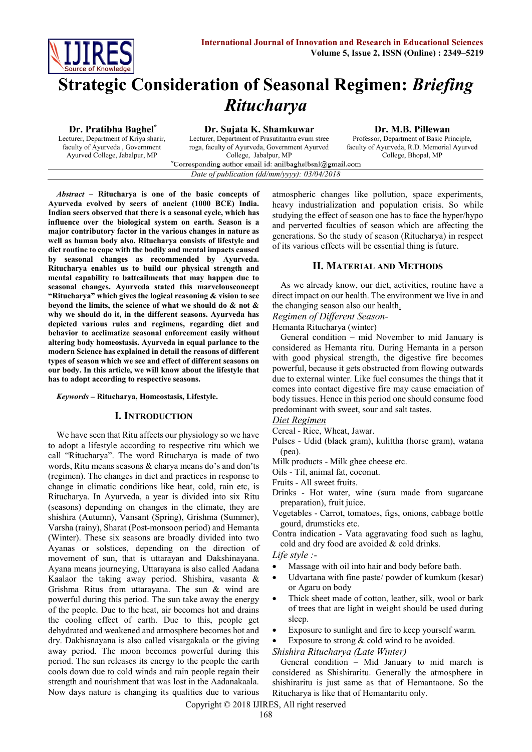

# **Strategic Consideration of Seasonal Regimen:** *Briefing Ritucharya*

Lecturer, Department of Kriya sharir, faculty of Ayurveda , Government Ayurved College, Jabalpur, MP

## **Dr. Pratibha Baghel\* Dr. Sujata K. Shamkuwar Dr. M.B. Pillewan**

Lecturer, Department of Prasutitantra evum stree roga, faculty of Ayurveda, Government Ayurved College, Jabalpur, MP<br>Corresponding author email id: anilbaghelbsnl@gmail.com *Date of publication (dd/mm/yyyy): 03/04/2018*

Professor, Department of Basic Principle, faculty of Ayurveda, R.D. Memorial Ayurved College, Bhopal, MP

*Abstract* **– Ritucharya is one of the basic concepts of Ayurveda evolved by seers of ancient (1000 BCE) India. Indian seers observed that there is a seasonal cycle, which has influence over the biological system on earth. Season is a major contributory factor in the various changes in nature as well as human body also. Ritucharya consists of lifestyle and diet routine to cope with the bodily and mental impacts caused by seasonal changes as recommended by Ayurveda. Ritucharya enables us to build our physical strength and mental capability to batteailments that may happen due to seasonal changes. Ayurveda stated this marvelousconcept "Ritucharya" which gives the logical reasoning & vision to see beyond the limits, the science of what we should do & not & why we should do it, in the different seasons. Ayurveda has depicted various rules and regimens, regarding diet and behavior to acclimatize seasonal enforcement easily without altering body homeostasis. Ayurveda in equal parlance to the modern Science has explained in detail the reasons of different types of season which we see and effect of different seasons on our body. In this article, we will know about the lifestyle that has to adopt according to respective seasons.**

#### *Keywords –* **Ritucharya, Homeostasis, Lifestyle.**

### **I. INTRODUCTION**

We have seen that Ritu affects our physiology so we have to adopt a lifestyle according to respective ritu which we call "Ritucharya". The word Ritucharya is made of two words, Ritu means seasons & charya means do's and don'ts (regimen). The changes in diet and practices in response to change in climatic conditions like heat, cold, rain etc, is Ritucharya. In Ayurveda, a year is divided into six Ritu (seasons) depending on changes in the climate, they are shishira (Autumn), Vansant (Spring), Grishma (Summer), Varsha (rainy), Sharat (Post-monsoon period) and Hemanta (Winter). These six seasons are broadly divided into two Ayanas or solstices, depending on the direction of movement of sun, that is uttarayan and Dakshinayana. Ayana means journeying, Uttarayana is also called Aadana Kaalaor the taking away period. Shishira, vasanta & Grishma Ritus from uttarayana. The sun & wind are powerful during this period. The sun take away the energy of the people. Due to the heat, air becomes hot and drains the cooling effect of earth. Due to this, people get dehydrated and weakened and atmosphere becomes hot and dry. Dakhisnayana is also called visargakala or the giving away period. The moon becomes powerful during this period. The sun releases its energy to the people the earth cools down due to cold winds and rain people regain their strength and nourishment that was lost in the Aadanakaala. Now days nature is changing its qualities due to various

atmospheric changes like pollution, space experiments, heavy industrialization and population crisis. So while studying the effect of season one has to face the hyper/hypo and perverted faculties of season which are affecting the generations. So the study of season (Ritucharya) in respect of its various effects will be essential thing is future.

### **II. MATERIAL AND METHODS**

As we already know, our diet, activities, routine have a direct impact on our health. The environment we live in and the changing season also our health.

*Regimen of Different Season-*

Hemanta Ritucharya (winter)

General condition – mid November to mid January is considered as Hemanta ritu. During Hemanta in a person with good physical strength, the digestive fire becomes powerful, because it gets obstructed from flowing outwards due to external winter. Like fuel consumes the things that it comes into contact digestive fire may cause emaciation of body tissues. Hence in this period one should consume food predominant with sweet, sour and salt tastes.

#### *Diet Regimen*

Cereal - Rice, Wheat, Jawar.

- Pulses Udid (black gram), kulittha (horse gram), watana (pea).
- Milk products Milk ghee cheese etc.
- Oils Til, animal fat, coconut.
- Fruits All sweet fruits.
- Drinks Hot water, wine (sura made from sugarcane preparation), fruit juice.
- Vegetables Carrot, tomatoes, figs, onions, cabbage bottle gourd, drumsticks etc.

Contra indication - Vata aggravating food such as laghu, cold and dry food are avoided & cold drinks.

*Life style :-*

- Massage with oil into hair and body before bath.
- Udvartana with fine paste/ powder of kumkum (kesar) or Agaru on body
- Thick sheet made of cotton, leather, silk, wool or bark of trees that are light in weight should be used during sleep.
- Exposure to sunlight and fire to keep yourself warm.
- Exposure to strong & cold wind to be avoided.

#### *Shishira Ritucharya (Late Winter)*

General condition – Mid January to mid march is considered as Shishiraritu. Generally the atmosphere in shishiraritu is just same as that of Hemantaone. So the Ritucharya is like that of Hemantaritu only.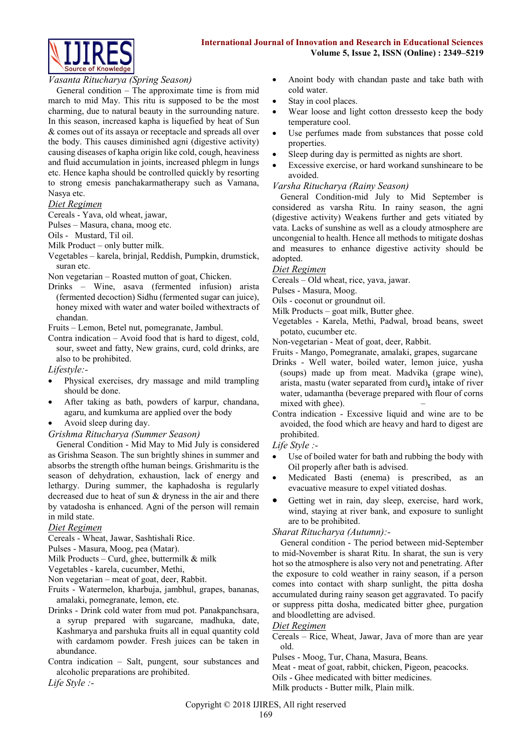



#### *Vasanta Ritucharya (Spring Season)*

General condition – The approximate time is from mid march to mid May. This ritu is supposed to be the most charming, due to natural beauty in the surrounding nature. In this season, increased kapha is liquefied by heat of Sun & comes out of its assaya or receptacle and spreads all over the body. This causes diminished agni (digestive activity) causing diseases of kapha origin like cold, cough, heaviness and fluid accumulation in joints, increased phlegm in lungs etc. Hence kapha should be controlled quickly by resorting to strong emesis panchakarmatherapy such as Vamana, Nasya etc.

#### *Diet Regimen*

Cereals - Yava, old wheat, jawar,

Pulses – Masura, chana, moog etc.

Oils - Mustard, Til oil.

Milk Product – only butter milk.

Vegetables – karela, brinjal, Reddish, Pumpkin, drumstick, suran etc.

Non vegetarian – Roasted mutton of goat, Chicken.

Drinks – Wine, asava (fermented infusion) arista (fermented decoction) Sidhu (fermented sugar can juice), honey mixed with water and water boiled withextracts of chandan.

Fruits – Lemon, Betel nut, pomegranate, Jambul.

Contra indication – Avoid food that is hard to digest, cold, sour, sweet and fatty, New grains, curd, cold drinks, are also to be prohibited.

*Lifestyle:-*

- Physical exercises, dry massage and mild trampling should be done.
- After taking as bath, powders of karpur, chandana, agaru, and kumkuma are applied over the body
- Avoid sleep during day.

*Grishma Ritucharya (Summer Season)*

General Condition - Mid May to Mid July is considered as Grishma Season. The sun brightly shines in summer and absorbs the strength ofthe human beings. Grishmaritu is the season of dehydration, exhaustion, lack of energy and lethargy. During summer, the kaphadosha is regularly decreased due to heat of sun & dryness in the air and there by vatadosha is enhanced. Agni of the person will remain in mild state.

### *Diet Regimen*

Cereals - Wheat, Jawar, Sashtishali Rice.

Pulses - Masura, Moog, pea (Matar).

Milk Products – Curd, ghee, buttermilk & milk

Vegetables - karela, cucumber, Methi,

Non vegetarian – meat of goat, deer, Rabbit.

- Fruits Watermelon, kharbuja, jambhul, grapes, bananas, amalaki, pomegranate, lemon, etc.
- Drinks Drink cold water from mud pot. Panakpanchsara, a syrup prepared with sugarcane, madhuka, date, Kashmarya and parshuka fruits all in equal quantity cold with cardamom powder. Fresh juices can be taken in abundance.

Contra indication – Salt, pungent, sour substances and alcoholic preparations are prohibited.

*Life Style :-*

- Anoint body with chandan paste and take bath with cold water.
- Stay in cool places.
- Wear loose and light cotton dressesto keep the body temperature cool.
- Use perfumes made from substances that posse cold properties.
- Sleep during day is permitted as nights are short.
- Excessive exercise, or hard workand sunshineare to be avoided.

*Varsha Ritucharya (Rainy Season)*

General Condition-mid July to Mid September is considered as varsha Ritu. In rainy season, the agni (digestive activity) Weakens further and gets vitiated by vata. Lacks of sunshine as well as a cloudy atmosphere are uncongenial to health. Hence all methods to mitigate doshas and measures to enhance digestive activity should be adopted.

*Diet Regimen*

Cereals – Old wheat, rice, yava, jawar.

Pulses - Masura, Moog.

Oils - coconut or groundnut oil.

- Milk Products goat milk, Butter ghee.
- Vegetables Karela, Methi, Padwal, broad beans, sweet potato, cucumber etc.
- Non-vegetarian Meat of goat, deer, Rabbit.
- Fruits Mango, Pomegranate, amalaki, grapes, sugarcane
- Drinks Well water, boiled water, lemon juice, yusha (soups) made up from meat. Madvika (grape wine), arista, mastu (water separated from curd)**,** intake of river water, udamantha (beverage prepared with flour of corns mixed with ghee). –
- Contra indication Excessive liquid and wine are to be avoided, the food which are heavy and hard to digest are prohibited.

*Life Style :-*

- Use of boiled water for bath and rubbing the body with Oil properly after bath is advised.
- Medicated Basti (enema) is prescribed, as an evacuative measure to expel vitiated doshas.
- Getting wet in rain, day sleep, exercise, hard work, wind, staying at river bank, and exposure to sunlight are to be prohibited.

*Sharat Ritucharya (Autumn):-*

General condition - The period between mid-September to mid-November is sharat Ritu. In sharat, the sun is very hot so the atmosphere is also very not and penetrating. After the exposure to cold weather in rainy season, if a person comes into contact with sharp sunlight, the pitta dosha accumulated during rainy season get aggravated. To pacify or suppress pitta dosha, medicated bitter ghee, purgation and bloodletting are advised.

#### *Diet Regimen*

- Cereals Rice, Wheat, Jawar, Java of more than are year old.
- Pulses Moog, Tur, Chana, Masura, Beans.
- Meat meat of goat, rabbit, chicken, Pigeon, peacocks.
- Oils Ghee medicated with bitter medicines.
- Milk products Butter milk, Plain milk.